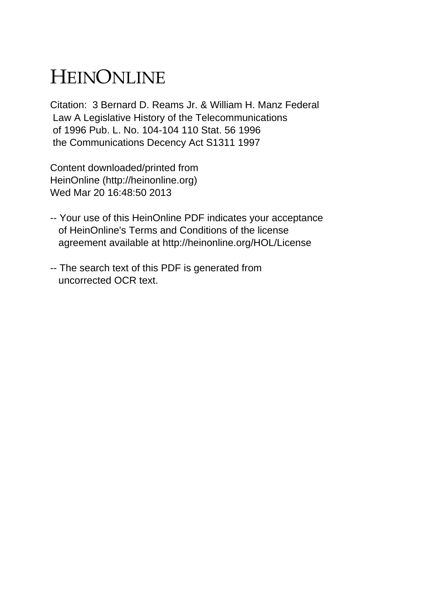# HEINONLINE

Citation: 3 Bernard D. Reams Jr. & William H. Manz Federal Law A Legislative History of the Telecommunications of 1996 Pub. L. No. 104-104 110 Stat. 56 1996 the Communications Decency Act S1311 1997

Content downloaded/printed from HeinOnline (http://heinonline.org) Wed Mar 20 16:48:50 2013

- -- Your use of this HeinOnline PDF indicates your acceptance of HeinOnline's Terms and Conditions of the license agreement available at http://heinonline.org/HOL/License
- -- The search text of this PDF is generated from uncorrected OCR text.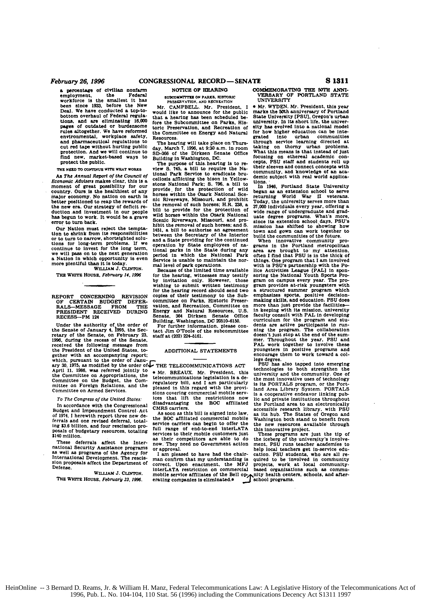**a percentage of civilian nonfarm MOTICE OF HEARING**<br>employment, the Federal supening track historic employment, the Federal results on *PARSS. PRODENT PARSS.* PARSS. The SMONIC CONSIDERTION **PESSIAO.**<br>
Peem since 1933, before the New Mr. CAMPBELL, Mr. President. been since 1933, before the New Mr. CAMPBELL. Mr. President. I Deal. We have conducted a top-to-would like to announce for the public environmental, workplace safety. Resources.<br>and pharmaceutical regulations to The hearing will take place on Thurs-<br>cut red tape without hurting public day, March 7, 1996 at 9:30 a.m. in room find new, market-based ways to Building in Washington. **DC. foc** protect the **public.** The purpose **of** this. hearing **Is** to re- **cep**

As The Annual Report of the Council of thomal Park Service to eradicate bru-<br>Economic Advisers makes clear, this is a stone National Park; S. 796, a bill to tions.<br>moment of great possibility for our **moment of the Council** Economic Advisers makes clear, this is a conventional Park; **S. 796.** a bill to country. Ours is the healthiest of any provide, for the protection of wild country. Ours is the healthiest of any provide, for the protection major economy. No instant of the Riverways, Missouri, and prohibit reduring word war in versions that the removal of such horses; H.R. 238, a 37,000 individuals every year, offering a the new era. Our strategy of deficit r

Our Nation must relect the tempta-<br>if the bill to authorize an agreement tion to shrink from its responsibilities between the Secretary of the Interior<br>or to turn to narrow, shortsighted solu-<br>and a State providing for the continue to invest for the long term, tional parks in the State during any we will pass on to the next generation period in which the National Park a National Park **of the National Park of the National Park and National Pa** 

the Senate of January 4. 1995, the Sec-<br>retary of the subcommittee nin<br>1996, during the recess of the Senate.<br>1996. during the recess of the Senate. received the following message from **PAAC SCALLACT CONSUMED**<br>received the following message from **PAAC SCALLACT CONSUMED**<br>the President of the United States, to-<br>**PADDITIONAL STATEMENTS** the President of the United States, to-<br>gether with an accompanying report gether with an accompanying report; encompanying report; encompanying report; encompanying and leg are allowing to the order of Janu -- leg are and leg are allowing a state of Janu -- leg are allowing a state of PHE **TELEC** April 11. 1986. **was referred jointly to \*** *Mr.* **BREAUX.** Mr. President. this universities on Appropriations, the  $\bullet$  Mr. BREAUX. Mr. President, this university Committee on the Budget, the Com-<br>regulatory bill, and I am particularly is<br>mittee on Foreign Relations, and the peased in this regard with the provi-<br>Committee on Armed Services.

In accordance with the Congressional disadvantaging the BOC affiliated<br>Budget and Impoundment Control Act  $\alpha$  as soon as this bill is signed into law<br>of 1974, I herewith report three new de-<br> $\alpha$  as soon as this bill is

as well as programs of the Agency for I am pleased to have had the chair-<br>International Development. The rescis-<br>International Development. The rescis-<br>
nan confirm that my understanding is<br>
lon proposals affect the Depart

### February **26, 1996 CONGRESSIONAL RECORD-SENATE**

the Committee on Energy and Natural

cut red tape without hurting public day, March **7, 1996, at 9:30 a.m. in room** protection. And we will continue to **SD-366 of the Dirksen Senate Office Find new**, market-based ways to pulldood a Whitehean Senate Office

TrE **NEED 70 CONTIUS Wire WHAT WORKs** view **S. 745,** a **bill** to require the Na- **the** *As he Annflual Report Of he Council of* tional Park Service to eradicate bru- **<sup>o</sup>** duction and investment in our people **bill horses within the Ozark National**<br>the begun to work, it would be a grave wild horses within the Ozark National<br>error to turn back.<br>hibit the removal of such horses; and S. a Nation in which opportunity is even Service is unable to maintain the nor-<br>more plentiful than it is today. mal level of park operations.<br>Withing the level of park operations. with the more presented than a<br>mal level of

WILLIAM J. CLINTON. **Because of the limited time available**<br>THE WHITE HOUSE, February 14, 1996 for the hearing, witnesses may testify THE WHmTE HousE. *February 14. 1996* for the hearing, witnesses may testify **sor by** invitation only. However. those gra wishing to submit written testimony gram<br>for the hearing record should send<br>REPORT CONCERNING REVISION copies of their testimony to the Sub- emp REPORT CONCERNING REVISION copies of their testimony to the Sub-emphasizes sports, positive decision-<br>OF CERTAIN BUDGET DEFER- committee on Parks, Historic Preser- making skills, and education. PSU does<br>RALS—MESSAGE FROM T **RALS--MESSAGE** FROM **THE** vation, and Recreation. Committee on **mo PRESIDENT** RECEIVED **DURING** Energy and Natural Resources. **U.S.** in **I** RECESS--PM 124 Senate, 364 Dirksen Senate Office fact Building, Washington, DC 20510-6150.<br>Building, Washington, DC 20510-6150.<br>Under the authority of the order of **For further information**, please con- den

of the Congress of the United States: sions covering commercial mobile serv-<br> *To The Congress of the United States:* loss that lift the restrictions now lic and private institutions throughout<br> **In accordance with the Con** 

of 1974, I nevewth report time new de-<br>ferrals and one revised deferral, total-<br>the BOC affiliated commercial mobile<br>for all and four rescission pro-<br>service carriers can begin to offer the<br>posals of budgetary resources, t

ect the Department of correct. Upon enactment, the MFJ<br>WILLIAN J. CLINTON. mobile aggregate of the Bell on.<br>WILLIAN J. CLINTON. mobile aggregate of the Bell on. unterLATA restriction on commercial based organizations such as commu-<br>WILLIAN J. CLINTON. mobile service affiliates of the Bell op-<br>THE WHITE HOUSE, *February 23, 1996*. erating companies is eliminated. Carlool programs.

### DIEMORATING THE *WTH ANNI-*ERSARY OF PORTLAND **STATE NIVERSITY**

bottom overhaul of Federal regula-<br>that a hearing has been scheduled be-State University [FSU], Oregon's urban<br>tions, and are eliminating 16,000 fore the Subcommittee on Parks, His-<br>university. In its short life, the unive **z.** WYDEN. Mr. President, this year **rka** the **50th** anniversary of Portland university. In its short life, the university has evolved into a national model for how higher education can be inte**ted** into urban communities ough service learning directed at Ing on thorny urban problems. **at** this means is that instead of Just using on ethereal academic conthe view intended is clusted in the state of its footning on ethered academic concepts, PSU staff and connect concepts with their sleeves and connect concepts with community, and knowledge of an academic subject with real world applica-

In 1946, Portland State University an as an extension school to serve urning World War **II** veterans. **Lay,** the university serves more than **00** individuals every year. offering a which range of undergraduate and grad-<br>uate degree programs. What's more,<br>since its extension school days, PSU's mission has shifted to showing how town and gown can work together to

Id id the communities of the future.<br>
When innovative community programs in the Portland metropolitan area are brought to my attention, often I find that PSU is in the thick of ngs. One program that **I** am involved h is **PSU's** partnership with the Po- Activities League (PAL] in spon- .ng the National Youth Sports Prostring on campus every year. The pro-<br>gram provides at-risk youngsters with<br>a structured summer program which<br>emphasizes sports, positive decisionre than just provide the facilities—<br>ereping with its mission, university<br>lity consult with PAL in developing<br>riculum for the program and stu-<br>is are active participants in run-<br>g the program. The collaboration<br>an't just s **r. Throughout the year. PSU and U** work together to involve these ourage them to work toward a col-<br>nugsters in positive programs and ourage them to work toward a col-<br>edegree.

lege degree.<br>**PSU** has also tapped into emerging<br>technologies to both strengthen the hnologies to both strengthen the versity and the community. One **of** is its PORTALS program, or the Port-<br>land Area Library System. PORTALS <sup>1</sup> cooperative endeavor linking pub-<br> **and private institutions throughout**<br>
Portland area to an electronically<br>
essible research library. with **PSU**<br>
its hub. The States of Oregon and<br>
bhington both stand to benefit from new resources available through this innovative project.

is innovative project.<br>These programs are just the tip of<br>the iceberg of the university's involve-<br>ment, PSU runs teachers get in-service edu-<br>help local teachers get in-service eduion. **PSU** students, who are all re-**red** to **be** \*involved in community projects, work at local community-<br>based organizations such as commu-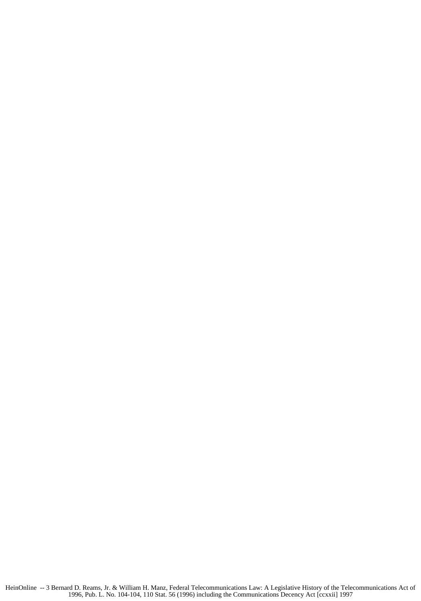HeinOnline -- 3 Bernard D. Reams, Jr. & William H. Manz, Federal Telecommunications Law: A Legislative History of the Telecommunications Act of 1996, Pub. L. No. 104-104, 110 Stat. 56 (1996) including the Communications Decency Act [ccxxii] 1997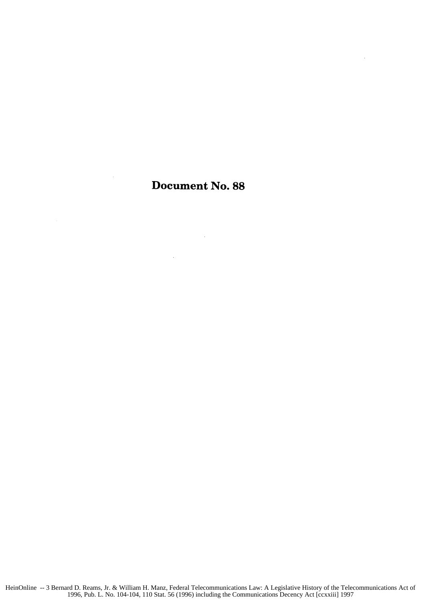## Document No. **88**

 $\mathcal{L}^{\text{max}}_{\text{max}}$  and  $\mathcal{L}^{\text{max}}_{\text{max}}$ 

 $\mathcal{L}^{\mathcal{L}}$ 

l,